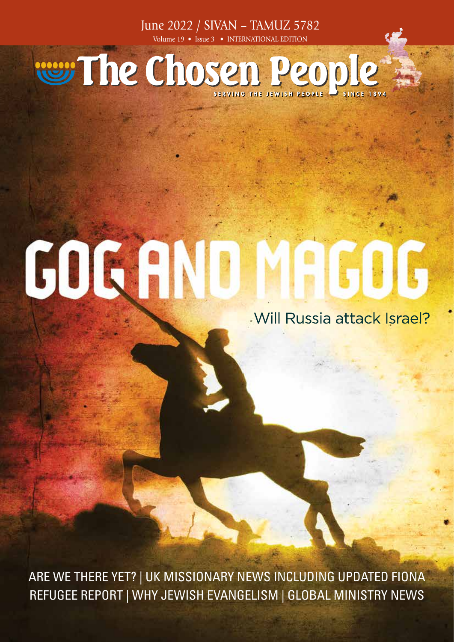June 2022 / SIVAN – TAMUZ 5782 Volume 19 • Issue 3 • INTERNATIONAL EDITION

# was The Chosen People

# GOGANO

#### . Will Russia attack Israel?

ARE WE THERE YET? | UK MISSIONARY NEWS INCLUDING UPDATED FIONA REFUGEE REPORT | WHY JEWISH EVANGELISM | GLOBAL MINISTRY NEWS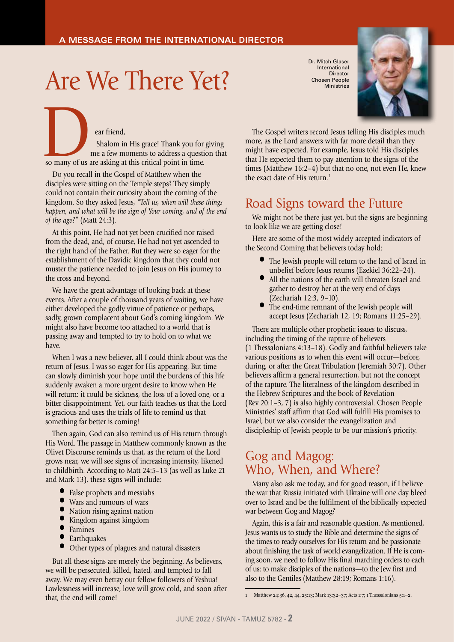### Are We There Yet?

ear friend, Shalom in His grace! Thank you for giving ear friend,<br>Shalom in His grace! Thank you for<br>me a few moments to address a questi<br>so many of us are asking at this critical point in time.

me a few moments to address a question that

Do you recall in the Gospel of Matthew when the disciples were sitting on the Temple steps? They simply could not contain their curiosity about the coming of the kingdom. So they asked Jesus, *"Tell us, when will these things happen, and what will be the sign of Your coming, and of the end of the age?"* (Matt 24:3).

At this point, He had not yet been crucified nor raised from the dead, and, of course, He had not yet ascended to the right hand of the Father. But they were so eager for the establishment of the Davidic kingdom that they could not muster the patience needed to join Jesus on His journey to the cross and beyond.

We have the great advantage of looking back at these events. After a couple of thousand years of waiting, we have either developed the godly virtue of patience or perhaps, sadly, grown complacent about God's coming kingdom. We might also have become too attached to a world that is passing away and tempted to try to hold on to what we have.

When I was a new believer, all I could think about was the return of Jesus. I was so eager for His appearing. But time can slowly diminish your hope until the burdens of this life suddenly awaken a more urgent desire to know when He will return: it could be sickness, the loss of a loved one, or a bitter disappointment. Yet, our faith teaches us that the Lord is gracious and uses the trials of life to remind us that something far better is coming!

Then again, God can also remind us of His return through His Word. The passage in Matthew commonly known as the Olivet Discourse reminds us that, as the return of the Lord grows near, we will see signs of increasing intensity, likened to childbirth. According to Matt 24:5–13 (as well as Luke 21 and Mark 13), these signs will include:

- False prophets and messiahs
- Wars and rumours of wars
- Nation rising against nation
- Kingdom against kingdom
- **•** Famines
- Earthquakes
- Other types of plagues and natural disasters

But all these signs are merely the beginning. As believers, we will be persecuted, killed, hated, and tempted to fall away. We may even betray our fellow followers of Yeshua! Lawlessness will increase, love will grow cold, and soon after that, the end will come!

Dr. Mitch Glaser International Director Chosen People **Ministries** 



The Gospel writers record Jesus telling His disciples much more, as the Lord answers with far more detail than they might have expected. For example, Jesus told His disciples that He expected them to pay attention to the signs of the times (Matthew 16:2–4) but that no one, not even He, knew the exact date of His return.<sup>1</sup>

#### Road Signs toward the Future

We might not be there just yet, but the signs are beginning to look like we are getting close!

Here are some of the most widely accepted indicators of the Second Coming that believers today hold:

- The Jewish people will return to the land of Israel in unbelief before Jesus returns (Ezekiel 36:22–24).
- All the nations of the earth will threaten Israel and gather to destroy her at the very end of days (Zechariah 12:3, 9–10).
- The end-time remnant of the Jewish people will accept Jesus (Zechariah 12, 19; Romans 11:25–29).

There are multiple other prophetic issues to discuss, including the timing of the rapture of believers (1 Thessalonians 4:13–18). Godly and faithful believers take various positions as to when this event will occur—before, during, or after the Great Tribulation (Jeremiah 30:7). Other believers affirm a general resurrection, but not the concept of the rapture. The literalness of the kingdom described in the Hebrew Scriptures and the book of Revelation (Rev 20:1–3, 7) is also highly controversial. Chosen People Ministries' staff affirm that God will fulfill His promises to Israel, but we also consider the evangelization and discipleship of Jewish people to be our mission's priority.

#### Gog and Magog: Who, When, and Where?

Many also ask me today, and for good reason, if I believe the war that Russia initiated with Ukraine will one day bleed over to Israel and be the fulfilment of the biblically expected war between Gog and Magog?

Again, this is a fair and reasonable question. As mentioned, Jesus wants us to study the Bible and determine the signs of the times to ready ourselves for His return and be passionate about finishing the task of world evangelization. If He is coming soon, we need to follow His final marching orders to each of us: to make disciples of the nations—to the Jew first and also to the Gentiles (Matthew 28:19; Romans 1:16).

<sup>1</sup> Matthew 24:36, 42, 44, 25:13; Mark 13:32–37; Acts 1:7; 1 Thessalonians 5:1–2.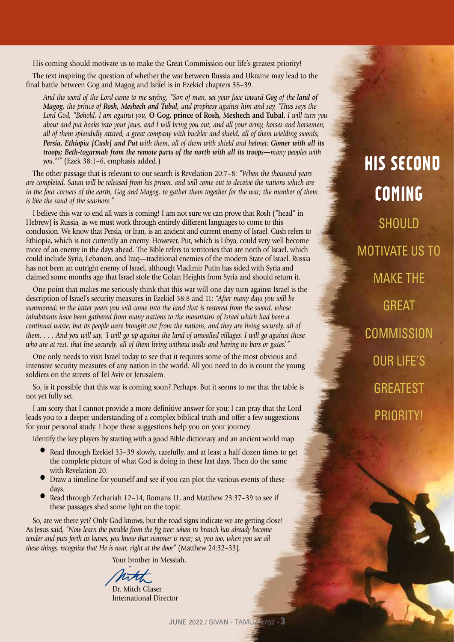His coming should motivate us to make the Great Commission our life's greatest priority!

**FROM OUR MISSIONARIES**

The text inspiring the question of whether the war between Russia and Ukraine may lead to the final battle between Gog and Magog and Israel is in Ezekiel chapters 38–39.

*And the word of the Lord came to me saying, "Son of man, set your face toward Gog of the land of Magog, the prince of Rosh, Meshech and Tubal, and prophesy against him and say, 'Thus says the Lord God, "Behold, I am against you,* **O Gog, prince of Rosh, Meshech and Tubal.** *I will turn you about and put hooks into your jaws, and I will bring you out, and all your army, horses and horsemen, all of them splendidly attired, a great company with buckler and shield, all of them wielding swords; Persia, Ethiopia [Cush] and Put with them, all of them with shield and helmet; Gomer with all its troops; Beth-togarmah from the remote parts of the north with all its troops—many peoples with you."'"* (Ezek 38:1–6, emphasis added.)

The other passage that is relevant to our search is Revelation 20:7–8: *"When the thousand years are completed, Satan will be released from his prison, and will come out to deceive the nations which are in the four corners of the earth, Gog and Magog, to gather them together for the war; the number of them is like the sand of the seashore."*

I believe this war to end all wars is coming! I am not sure we can prove that Rosh ("head" in Hebrew) is Russia, as we must work through entirely different languages to come to this conclusion. We know that Persia, or Iran, is an ancient and current enemy of Israel. Cush refers to Ethiopia, which is not currently an enemy. However, Put, which is Libya, could very well become more of an enemy in the days ahead. The Bible refers to territories that are north of Israel, which could include Syria, Lebanon, and Iraq—traditional enemies of the modern State of Israel. Russia has not been an outright enemy of Israel, although Vladimir Putin has sided with Syria and claimed some months ago that Israel stole the Golan Heights from Syria and should return it.

One point that makes me seriously think that this war will one day turn against Israel is the description of Israel's security measures in Ezekiel 38:8 and 11: *"After many days you will be summoned; in the latter years you will come into the land that is restored from the sword, whose inhabitants have been gathered from many nations to the mountains of Israel which had been a continual waste; but its people were brought out from the nations, and they are living securely, all of them. . . . And you will say, 'I will go up against the land of unwalled villages. I will go against those who are at rest, that live securely, all of them living without walls and having no bars or gates.'"*

One only needs to visit Israel today to see that it requires some of the most obvious and intensive security measures of any nation in the world. All you need to do is count the young soldiers on the streets of Tel Aviv or Jerusalem.

So, is it possible that this war is coming soon? Perhaps. But it seems to me that the table is not yet fully set.

I am sorry that I cannot provide a more definitive answer for you; I can pray that the Lord leads you to a deeper understanding of a complex biblical truth and offer a few suggestions for your personal study. I hope these suggestions help you on your journey:

Identify the key players by starting with a good Bible dictionary and an ancient world map.

- Read through Ezekiel 35–39 slowly, carefully, and at least a half dozen times to get the complete picture of what God is doing in these last days. Then do the same with Revelation 20.
- Draw a timeline for yourself and see if you can plot the various events of these days.
- Read through Zechariah 12–14, Romans 11, and Matthew 23:37–39 to see if these passages shed some light on the topic.

So, are we there yet? Only God knows, but the road signs indicate we are getting close! As Jesus said, *"Now learn the parable from the fig tree: when its branch has already become tender and puts forth its leaves, you know that summer is near; so, you too, when you see all these things, recognize that He is near, right at the door"* (Matthew 24:32–33).

Your brother in Messiah,

Dr. Mitch Glaser International Director

**HIS SECOND COMING** SHOULD MOTIVATE US TO MAKE THE **GREAT COMMISSION** OUR LIFE'S **GREATEST** PRIORITY!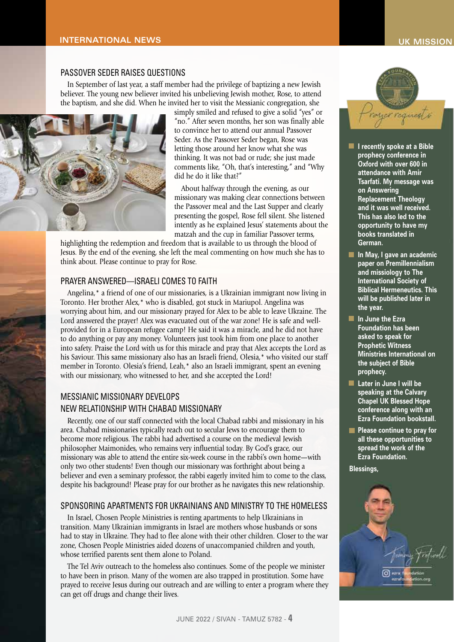#### PASSOVER SEDER RAISES QUESTIONS

In September of last year, a staff member had the privilege of baptizing a new Jewish believer. The young new believer invited his unbelieving Jewish mother, Rose, to attend the baptism, and she did. When he invited her to visit the Messianic congregation, she



simply smiled and refused to give a solid "yes" or "no." After seven months, her son was finally able to convince her to attend our annual Passover Seder. As the Passover Seder began, Rose was letting those around her know what she was thinking. It was not bad or rude; she just made comments like, "Oh, that's interesting," and "Why did he do it like that?"

About halfway through the evening, as our missionary was making clear connections between the Passover meal and the Last Supper and clearly presenting the gospel, Rose fell silent. She listened intently as he explained Jesus' statements about the matzah and the cup in familiar Passover terms,

highlighting the redemption and freedom that is available to us through the blood of Jesus. By the end of the evening, she left the meal commenting on how much she has to think about. Please continue to pray for Rose.

#### PRAYER ANSWERED—ISRAELI COMES TO FAITH

Angelina,\* a friend of one of our missionaries, is a Ukrainian immigrant now living in Toronto. Her brother Alex,\* who is disabled, got stuck in Mariupol. Angelina was worrying about him, and our missionary prayed for Alex to be able to leave Ukraine. The Lord answered the prayer! Alex was evacuated out of the war zone! He is safe and wellprovided for in a European refugee camp! He said it was a miracle, and he did not have to do anything or pay any money. Volunteers just took him from one place to another into safety. Praise the Lord with us for this miracle and pray that Alex accepts the Lord as his Saviour. This same missionary also has an Israeli friend. Olesia, \* who visited our staff member in Toronto. Olesia's friend, Leah,\* also an Israeli immigrant, spent an evening with our missionary, who witnessed to her, and she accepted the Lord!

#### MESSIANIC MISSIONARY DEVELOPS

#### NEW RELATIONSHIP WITH CHABAD MISSIONARY

Recently, one of our staff connected with the local Chabad rabbi and missionary in his area. Chabad missionaries typically reach out to secular Jews to encourage them to become more religious. The rabbi had advertised a course on the medieval Jewish philosopher Maimonides, who remains very influential today. By God's grace, our missionary was able to attend the entire six-week course in the rabbi's own home—with only two other students! Even though our missionary was forthright about being a believer and even a seminary professor, the rabbi eagerly invited him to come to the class, despite his background! Please pray for our brother as he navigates this new relationship.

#### SPONSORING APARTMENTS FOR UKRAINIANS AND MINISTRY TO THE HOMELESS

In Israel, Chosen People Ministries is renting apartments to help Ukrainians in transition. Many Ukrainian immigrants in Israel are mothers whose husbands or sons had to stay in Ukraine. They had to flee alone with their other children. Closer to the war zone, Chosen People Ministries aided dozens of unaccompanied children and youth, whose terrified parents sent them alone to Poland.

The Tel Aviv outreach to the homeless also continues. Some of the people we minister to have been in prison. Many of the women are also trapped in prostitution. Some have prayed to receive Jesus during our outreach and are willing to enter a program where they can get off drugs and change their lives.



- **• I recently spoke at a Bible prophecy conference in Oxford with over 600 in attendance with Amir Tsarfati. My message was on Answering Replacement Theology and it was well received. This has also led to the opportunity to have my books translated in German.**
- **• In May, I gave an academic paper on Premillennialism and missiology to The International Society of Biblical Hermeneutics. This will be published later in the year.**
- **• In June the Ezra Foundation has been asked to speak for Prophetic Witness Ministries International on the subject of Bible prophecy.**
- **• Later in June I will be speaking at the Calvary Chapel UK Blessed Hope conference along with an Ezra Foundation bookstall.**
- **• Please continue to pray for all these opportunities to spread the work of the Ezra Foundation.**

**Blessings,**

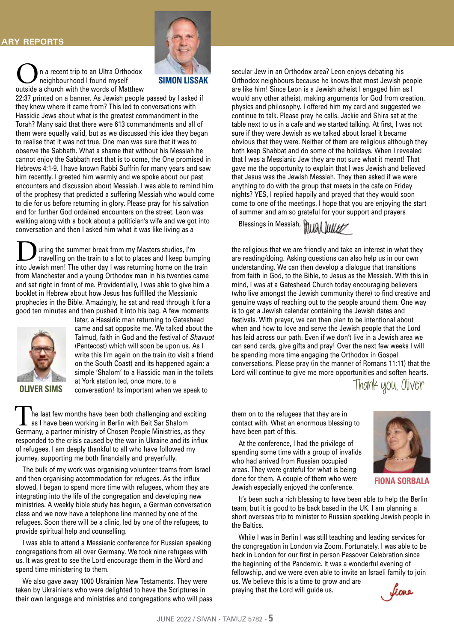n a recent trip to an Ultra Orthodox neighbourhood I found myself outside a church with the words of Matthew



#### **SIMON LISSAK**

22:37 printed on a banner. As Jewish people passed by I asked if they knew where it came from? This led to conversations with Hassidic Jews about what is the greatest commandment in the Torah? Many said that there were 613 commandments and all of them were equally valid, but as we discussed this idea they began to realise that it was not true. One man was sure that it was to observe the Sabbath. What a shame that without his Messiah he cannot enjoy the Sabbath rest that is to come, the One promised in Hebrews 4:1-9. I have known Rabbi Suffrin for many years and saw him recently. I greeted him warmly and we spoke about our past encounters and discussion about Messiah. I was able to remind him of the prophesy that predicted a suffering Messiah who would come to die for us before returning in glory. Please pray for his salvation and for further God ordained encounters on the street. Leon was walking along with a book about a politician's wife and we got into conversation and then I asked him what it was like living as a

If the summer break from my Masters studies, I'm<br>travelling on the train to a lot to places and I keep bumping<br>into lowish mon! The other day I was returning home on the train into Jewish men! The other day I was returning home on the train from Manchester and a young Orthodox man in his twenties came and sat right in front of me. Providentially, I was able to give him a booklet in Hebrew about how Jesus has fulfilled the Messianic prophecies in the Bible. Amazingly, he sat and read through it for a good ten minutes and then pushed it into his bag. A few moments



later, a Hassidic man returning to Gateshead came and sat opposite me. We talked about the Talmud, faith in God and the festival of *Shavuot* (Pentecost) which will soon be upon us. As I write this I'm again on the train (to visit a friend on the South Coast) and its happened again; a simple 'Shalom' to a Hassidic man in the toilets at York station led, once more, to a **OLIVER SIMS** at fork station led, once more, to a<br>**OLIVER SIMS** conversation! Its important when we speak to

The last few months have been both challenging and exciting as I have been working in Berlin with Beit Sar Shalom Germany, a partner ministry of Chosen People Ministries, as they responded to the crisis caused by the war in Ukraine and its influx of refugees. I am deeply thankful to all who have followed my journey, supporting me both financially and prayerfully.

The bulk of my work was organising volunteer teams from Israel and then organising accommodation for refugees. As the influx slowed, I began to spend more time with refugees, whom they are integrating into the life of the congregation and developing new ministries. A weekly bible study has begun, a German conversation class and we now have a telephone line manned by one of the refugees. Soon there will be a clinic, led by one of the refugees, to provide spiritual help and counselling.

I was able to attend a Messianic conference for Russian speaking congregations from all over Germany. We took nine refugees with us. It was great to see the Lord encourage them in the Word and spend time ministering to them.

We also gave away 1000 Ukrainian New Testaments. They were taken by Ukrainians who were delighted to have the Scriptures in their own language and ministries and congregations who will pass secular Jew in an Orthodox area? Leon enjoys debating his Orthodox neighbours because he knows that most Jewish people are like him! Since Leon is a Jewish atheist I engaged him as I would any other atheist, making arguments for God from creation, physics and philosophy. I offered him my card and suggested we continue to talk. Please pray he calls. Jackie and Shira sat at the table next to us in a cafe and we started talking. At first, I was not sure if they were Jewish as we talked about Israel it became obvious that they were. Neither of them are religious although they both keep Shabbat and do some of the holidays. When I revealed that I was a Messianic Jew they are not sure what it meant! That gave me the opportunity to explain that I was Jewish and believed that Jesus was the Jewish Messiah. They then asked if we were anything to do with the group that meets in the cafe on Friday nights? YES, I replied happily and prayed that they would soon come to one of the meetings. I hope that you are enjoying the start of summer and am so grateful for your support and prayers

Blessings in Messiah, Mulal Iuller



the religious that we are friendly and take an interest in what they are reading/doing. Asking questions can also help us in our own understanding. We can then develop a dialogue that transitions from faith in God, to the Bible, to Jesus as the Messiah. With this in mind, I was at a Gateshead Church today encouraging believers (who live amongst the Jewish community there) to find creative and genuine ways of reaching out to the people around them. One way is to get a Jewish calendar containing the Jewish dates and festivals. With prayer, we can then plan to be intentional about when and how to love and serve the Jewish people that the Lord has laid across our path. Even if we don't live in a Jewish area we can send cards, give gifts and pray! Over the next few weeks I will be spending more time engaging the Orthodox in Gospel conversations. Please pray (in the manner of Romans 11:11) that the Lord will continue to give me more opportunities and soften hearts.

them on to the refugees that they are in contact with. What an enormous blessing to have been part of this.

At the conference, I had the privilege of spending some time with a group of invalids who had arrived from Russian occupied areas. They were grateful for what is being done for them. A couple of them who were Jewish especially enjoyed the conference.

It's been such a rich blessing to have been able to help the Berlin team, but it is good to be back based in the UK. I am planning a short overseas trip to minister to Russian speaking Jewish people in the Baltics.

While I was in Berlin I was still teaching and leading services for the congregation in London via Zoom. Fortunately, I was able to be back in London for our first in person Passover Celebration since the beginning of the Pandemic. It was a wonderful evening of fellowship, and we were even able to invite an Israeli family to join us. We believe this is a time to grow and are praying that the Lord will guide us.



**FIONA SORBALA** 

Jiona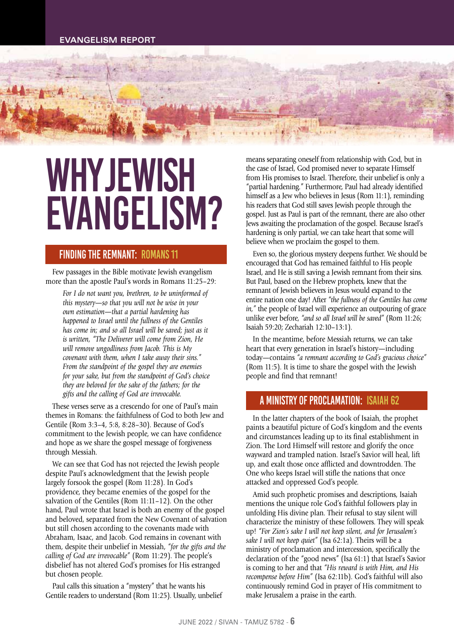## WHY JEWISH EVANGELISM?

#### Finding the Remnant: Romans 11

Few passages in the Bible motivate Jewish evangelism more than the apostle Paul's words in Romans 11:25–29:

*For I do not want you, brethren, to be uninformed of this mystery—so that you will not be wise in your own estimation—that a partial hardening has happened to Israel until the fullness of the Gentiles has come in; and so all Israel will be saved; just as it is written, "The Deliverer will come from Zion, He will remove ungodliness from Jacob. This is My covenant with them, when I take away their sins." From the standpoint of the gospel they are enemies for your sake, but from the standpoint of God's choice they are beloved for the sake of the fathers; for the gifts and the calling of God are irrevocable.*

These verses serve as a crescendo for one of Paul's main themes in Romans: the faithfulness of God to both Jew and Gentile (Rom 3:3–4, 5:8, 8:28–30). Because of God's commitment to the Jewish people, we can have confidence and hope as we share the gospel message of forgiveness through Messiah.

We can see that God has not rejected the Jewish people despite Paul's acknowledgment that the Jewish people largely forsook the gospel (Rom 11:28). In God's providence, they became enemies of the gospel for the salvation of the Gentiles (Rom 11:11–12). On the other hand, Paul wrote that Israel is both an enemy of the gospel and beloved, separated from the New Covenant of salvation but still chosen according to the covenants made with Abraham, Isaac, and Jacob. God remains in covenant with them, despite their unbelief in Messiah, *"for the gifts and the calling of God are irrevocable"* (Rom 11:29). The people's disbelief has not altered God's promises for His estranged but chosen people.

Paul calls this situation a "mystery" that he wants his Gentile readers to understand (Rom 11:25). Usually, unbelief

means separating oneself from relationship with God, but in the case of Israel, God promised never to separate Himself from His promises to Israel. Therefore, their unbelief is only a "partial hardening." Furthermore, Paul had already identified himself as a Jew who believes in Jesus (Rom 11:1), reminding his readers that God still saves Jewish people through the gospel. Just as Paul is part of the remnant, there are also other Jews awaiting the proclamation of the gospel. Because Israel's hardening is only partial, we can take heart that some will believe when we proclaim the gospel to them.

Even so, the glorious mystery deepens further. We should be encouraged that God has remained faithful to His people Israel, and He is still saving a Jewish remnant from their sins. But Paul, based on the Hebrew prophets, knew that the remnant of Jewish believers in Jesus would expand to the entire nation one day! After *"the fullness of the Gentiles has come in,"* the people of Israel will experience an outpouring of grace unlike ever before, *"and so all Israel will be saved"* (Rom 11:26; Isaiah 59:20; Zechariah 12:10–13:1).

In the meantime, before Messiah returns, we can take heart that every generation in Israel's history—including today—contains *"a remnant according to God's gracious choice"*  (Rom 11:5). It is time to share the gospel with the Jewish people and find that remnant!

#### A Ministry of Proclamation: Isaiah 62

In the latter chapters of the book of Isaiah, the prophet paints a beautiful picture of God's kingdom and the events and circumstances leading up to its final establishment in Zion. The Lord Himself will restore and glorify the once wayward and trampled nation. Israel's Savior will heal, lift up, and exalt those once afflicted and downtrodden. The One who keeps Israel will stifle the nations that once attacked and oppressed God's people.

Amid such prophetic promises and descriptions, Isaiah mentions the unique role God's faithful followers play in unfolding His divine plan. Their refusal to stay silent will characterize the ministry of these followers. They will speak up! *"For Zion's sake I will not keep silent, and for Jerusalem's sake I will not keep quiet"* (Isa 62:1a). Theirs will be a ministry of proclamation and intercession, specifically the declaration of the "good news" (Isa 61:1) that Israel's Savior is coming to her and that *"His reward is with Him, and His recompense before Him"* (Isa 62:11b). God's faithful will also continuously remind God in prayer of His commitment to make Jerusalem a praise in the earth.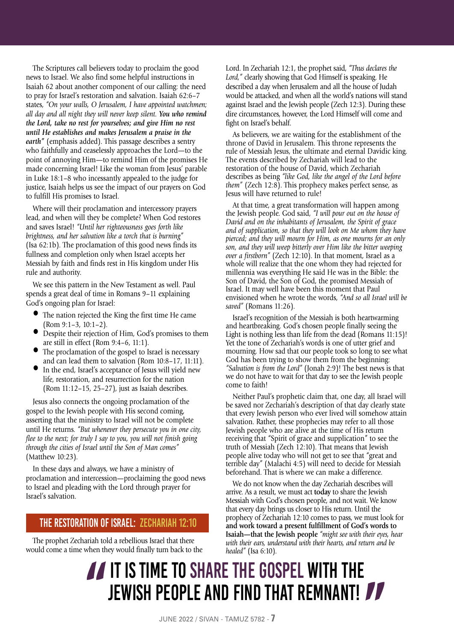The Scriptures call believers today to proclaim the good news to Israel. We also find some helpful instructions in Isaiah 62 about another component of our calling: the need to pray for Israel's restoration and salvation. Isaiah 62:6–7 states, *"On your walls, O Jerusalem, I have appointed watchmen; all day and all night they will never keep silent. You who remind the Lord, take no rest for yourselves; and give Him no rest until He establishes and makes Jerusalem a praise in the earth"* (emphasis added). This passage describes a sentry who faithfully and ceaselessly approaches the Lord—to the point of annoying Him—to remind Him of the promises He made concerning Israel! Like the woman from Jesus' parable in Luke 18:1–8 who incessantly appealed to the judge for justice, Isaiah helps us see the impact of our prayers on God to fulfill His promises to Israel.

Where will their proclamation and intercessory prayers lead, and when will they be complete? When God restores and saves Israel! *"Until her righteousness goes forth like brightness, and her salvation like a torch that is burning"*  (Isa 62:1b). The proclamation of this good news finds its fullness and completion only when Israel accepts her Messiah by faith and finds rest in His kingdom under His rule and authority.

We see this pattern in the New Testament as well. Paul spends a great deal of time in Romans 9–11 explaining God's ongoing plan for Israel:

- The nation rejected the King the first time He came (Rom 9:1–3, 10:1–2).
- Despite their rejection of Him, God's promises to them are still in effect (Rom 9:4–6, 11:1).
- The proclamation of the gospel to Israel is necessary and can lead them to salvation (Rom 10:8–17, 11:11).
- In the end, Israel's acceptance of Jesus will yield new life, restoration, and resurrection for the nation (Rom 11:12–15, 25–27), just as Isaiah describes.

Jesus also connects the ongoing proclamation of the gospel to the Jewish people with His second coming, asserting that the ministry to Israel will not be complete until He returns. *"But whenever they persecute you in one city, flee to the next; for truly I say to you, you will not finish going through the cities of Israel until the Son of Man comes"*  (Matthew 10:23).

In these days and always, we have a ministry of proclamation and intercession—proclaiming the good news to Israel and pleading with the Lord through prayer for Israel's salvation.

#### The Restoration of Israel: Zechariah 12:10

The prophet Zechariah told a rebellious Israel that there would come a time when they would finally turn back to the Lord. In Zechariah 12:1, the prophet said, *"Thus declares the Lord,"* clearly showing that God Himself is speaking. He described a day when Jerusalem and all the house of Judah would be attacked, and when all the world's nations will stand against Israel and the Jewish people (Zech 12:3). During these dire circumstances, however, the Lord Himself will come and fight on Israel's behalf.

As believers, we are waiting for the establishment of the throne of David in Jerusalem. This throne represents the rule of Messiah Jesus, the ultimate and eternal Davidic king. The events described by Zechariah will lead to the restoration of the house of David, which Zechariah describes as being *"like God, like the angel of the Lord before them"* (Zech 12:8). This prophecy makes perfect sense, as Jesus will have returned to rule!

At that time, a great transformation will happen among the Jewish people. God said, *"I will pour out on the house of David and on the inhabitants of Jerusalem, the Spirit of grace and of supplication, so that they will look on Me whom they have pierced; and they will mourn for Him, as one mourns for an only son, and they will weep bitterly over Him like the bitter weeping over a firstborn"* (Zech 12:10). In that moment, Israel as a whole will realize that the one whom they had rejected for millennia was everything He said He was in the Bible: the Son of David, the Son of God, the promised Messiah of Israel. It may well have been this moment that Paul envisioned when he wrote the words, *"And so all Israel will be saved"* (Romans 11:26).

Israel's recognition of the Messiah is both heartwarming and heartbreaking. God's chosen people finally seeing the Light is nothing less than life from the dead (Romans 11:15)! Yet the tone of Zechariah's words is one of utter grief and mourning. How sad that our people took so long to see what God has been trying to show them from the beginning: *"Salvation is from the Lord"* (Jonah 2:9)! The best news is that we do not have to wait for that day to see the Jewish people come to faith!

Neither Paul's prophetic claim that, one day, all Israel will be saved nor Zechariah's description of that day clearly state that every Jewish person who ever lived will somehow attain salvation. Rather, these prophecies may refer to all those Jewish people who are alive at the time of His return receiving that "Spirit of grace and supplication" to see the truth of Messiah (Zech 12:10). That means that Jewish people alive today who will not get to see that "great and terrible day" (Malachi 4:5) will need to decide for Messiah beforehand. That is where we can make a difference.

We do not know when the day Zechariah describes will arrive. As a result, we must act **today** to share the Jewish Messiah with God's chosen people, and not wait. We know that every day brings us closer to His return. Until the prophecy of Zechariah 12:10 comes to pass, we must look for **and work toward a present fulfillment of God's words to Isaiah—that the Jewish people** *"might see with their eyes, hear with their ears, understand with their hearts, and return and be healed"* (Isa 6:10).

### **IT IS TIME TO SHARE THE GOSPEL WITH THE**<br>JEWISH PEOPLE AND FIND THAT REMNANT! JEWISH PEOPLE AND FIND THAT REMNANT!